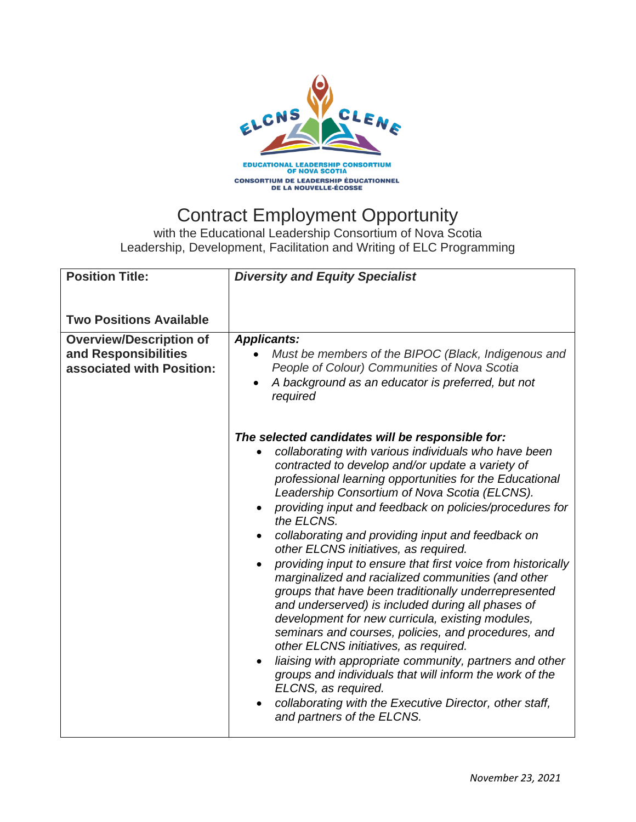

## Contract Employment Opportunity

with the Educational Leadership Consortium of Nova Scotia Leadership, Development, Facilitation and Writing of ELC Programming

| <b>Position Title:</b>                                                              | <b>Diversity and Equity Specialist</b>                                                                                                                                                                                                                                                                                                                                                                                                                                                                                                                                                                                                                                                                                                                                                                                                                                                                                                                                                                                                                                       |
|-------------------------------------------------------------------------------------|------------------------------------------------------------------------------------------------------------------------------------------------------------------------------------------------------------------------------------------------------------------------------------------------------------------------------------------------------------------------------------------------------------------------------------------------------------------------------------------------------------------------------------------------------------------------------------------------------------------------------------------------------------------------------------------------------------------------------------------------------------------------------------------------------------------------------------------------------------------------------------------------------------------------------------------------------------------------------------------------------------------------------------------------------------------------------|
| <b>Two Positions Available</b>                                                      |                                                                                                                                                                                                                                                                                                                                                                                                                                                                                                                                                                                                                                                                                                                                                                                                                                                                                                                                                                                                                                                                              |
| <b>Overview/Description of</b><br>and Responsibilities<br>associated with Position: | <b>Applicants:</b><br>Must be members of the BIPOC (Black, Indigenous and<br>People of Colour) Communities of Nova Scotia<br>A background as an educator is preferred, but not<br>required                                                                                                                                                                                                                                                                                                                                                                                                                                                                                                                                                                                                                                                                                                                                                                                                                                                                                   |
|                                                                                     | The selected candidates will be responsible for:<br>collaborating with various individuals who have been<br>contracted to develop and/or update a variety of<br>professional learning opportunities for the Educational<br>Leadership Consortium of Nova Scotia (ELCNS).<br>providing input and feedback on policies/procedures for<br>the ELCNS.<br>collaborating and providing input and feedback on<br>other ELCNS initiatives, as required.<br>providing input to ensure that first voice from historically<br>marginalized and racialized communities (and other<br>groups that have been traditionally underrepresented<br>and underserved) is included during all phases of<br>development for new curricula, existing modules,<br>seminars and courses, policies, and procedures, and<br>other ELCNS initiatives, as required.<br>liaising with appropriate community, partners and other<br>groups and individuals that will inform the work of the<br>ELCNS, as required.<br>collaborating with the Executive Director, other staff,<br>and partners of the ELCNS. |